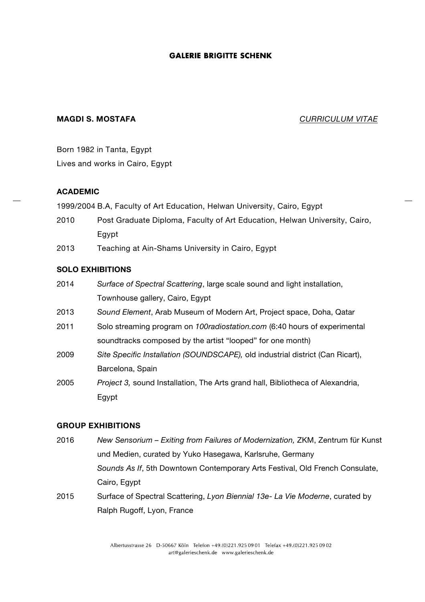#### **MAGDI S. MOSTAFA** *CURRICULUM VITAE*

Born 1982 in Tanta, Egypt

Lives and works in Cairo, Egypt

#### **ACADEMIC**

1999/2004 B.A, Faculty of Art Education, Helwan University, Cairo, Egypt

- 2010 Post Graduate Diploma, Faculty of Art Education, Helwan University, Cairo, Egypt
- 2013 Teaching at Ain-Shams University in Cairo, Egypt

#### **SOLO EXHIBITIONS**

| 2014 | Surface of Spectral Scattering, large scale sound and light installation, |
|------|---------------------------------------------------------------------------|
|      | Townhouse gallery, Cairo, Egypt                                           |

- 2013 *Sound Element*, Arab Museum of Modern Art, Project space, Doha, Qatar
- 2011 Solo streaming program on *100radiostation.com* (6:40 hours of experimental soundtracks composed by the artist "looped" for one month)
- 2009 *Site Specific Installation (SOUNDSCAPE),* old industrial district (Can Ricart), Barcelona, Spain
- 2005 *Project 3,* sound Installation, The Arts grand hall, Bibliotheca of Alexandria, Egypt

#### **GROUP EXHIBITIONS**

- 2016 *New Sensorium – Exiting from Failures of Modernization,* ZKM, Zentrum für Kunst und Medien, curated by Yuko Hasegawa, Karlsruhe, Germany *Sounds As If*, 5th Downtown Contemporary Arts Festival, Old French Consulate, Cairo, Egypt
- 2015 Surface of Spectral Scattering, *Lyon Biennial 13e- La Vie Moderne*, curated by Ralph Rugoff, Lyon, France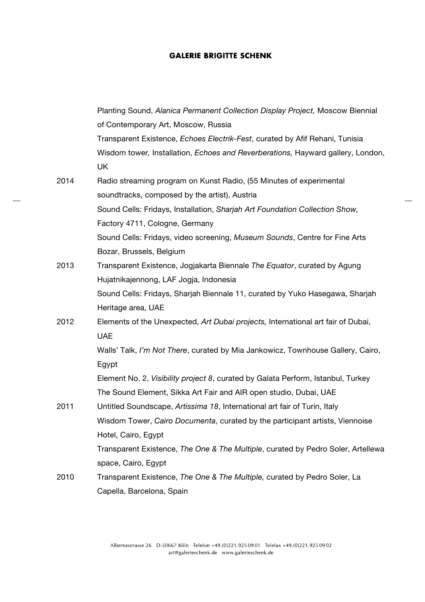|      | Planting Sound, Alanica Permanent Collection Display Project, Moscow Biennial           |
|------|-----------------------------------------------------------------------------------------|
|      | of Contemporary Art, Moscow, Russia                                                     |
|      | Transparent Existence, <i>Echoes Electrik-Fest</i> , curated by Afif Rehani, Tunisia    |
|      | Wisdom tower, Installation, <i>Echoes and Reverberations</i> , Hayward gallery, London, |
|      | <b>UK</b>                                                                               |
| 2014 | Radio streaming program on Kunst Radio, (55 Minutes of experimental                     |
|      | soundtracks, composed by the artist), Austria                                           |
|      | Sound Cells: Fridays, Installation, Sharjah Art Foundation Collection Show,             |
|      | Factory 4711, Cologne, Germany                                                          |
|      | Sound Cells: Fridays, video screening, Museum Sounds, Centre for Fine Arts              |
|      | Bozar, Brussels, Belgium                                                                |
| 2013 | Transparent Existence, Jogjakarta Biennale The Equator, curated by Agung                |
|      | Hujatnikajennong, LAF Jogja, Indonesia                                                  |
|      | Sound Cells: Fridays, Sharjah Biennale 11, curated by Yuko Hasegawa, Sharjah            |
|      | Heritage area, UAE                                                                      |
| 2012 | Elements of the Unexpected, Art Dubai projects, International art fair of Dubai,        |
|      | <b>UAE</b>                                                                              |
|      | Walls' Talk, I'm Not There, curated by Mia Jankowicz, Townhouse Gallery, Cairo,         |
|      | Egypt                                                                                   |
|      | Element No. 2, Visibility project 8, curated by Galata Perform, Istanbul, Turkey        |
|      | The Sound Element, Sikka Art Fair and AIR open studio, Dubai, UAE                       |
| 2011 | Untitled Soundscape, Artissima 18, International art fair of Turin, Italy               |
|      | Wisdom Tower, Cairo Documenta, curated by the participant artists, Viennoise            |
|      | Hotel, Cairo, Egypt                                                                     |
|      | Transparent Existence, The One & The Multiple, curated by Pedro Soler, Artellewa        |
|      | space, Cairo, Egypt                                                                     |
| 2010 | Transparent Existence, The One & The Multiple, curated by Pedro Soler, La               |
|      | Capella, Barcelona, Spain                                                               |

 $\overline{a}$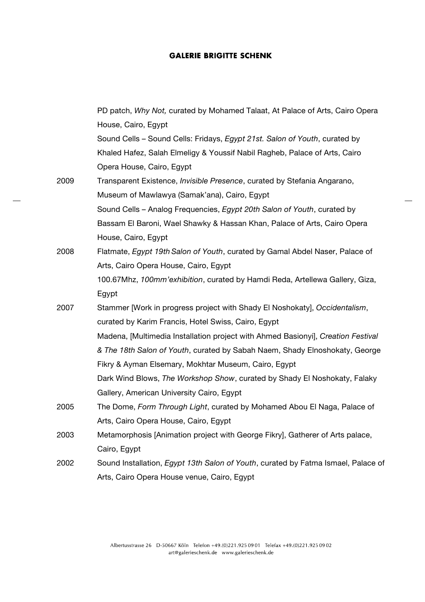|      | PD patch, Why Not, curated by Mohamed Talaat, At Palace of Arts, Cairo Opera              |
|------|-------------------------------------------------------------------------------------------|
|      | House, Cairo, Egypt                                                                       |
|      | Sound Cells - Sound Cells: Fridays, Egypt 21st. Salon of Youth, curated by                |
|      | Khaled Hafez, Salah Elmeligy & Youssif Nabil Ragheb, Palace of Arts, Cairo                |
|      | Opera House, Cairo, Egypt                                                                 |
| 2009 | Transparent Existence, <i>Invisible Presence</i> , curated by Stefania Angarano,          |
|      | Museum of Mawlawya (Samak'ana), Cairo, Egypt                                              |
|      | Sound Cells - Analog Frequencies, Egypt 20th Salon of Youth, curated by                   |
|      | Bassam El Baroni, Wael Shawky & Hassan Khan, Palace of Arts, Cairo Opera                  |
|      | House, Cairo, Egypt                                                                       |
| 2008 | Flatmate, Egypt 19th Salon of Youth, curated by Gamal Abdel Naser, Palace of              |
|      | Arts, Cairo Opera House, Cairo, Egypt                                                     |
|      | 100.67Mhz, 100mm'exhibition, curated by Hamdi Reda, Artellewa Gallery, Giza,              |
|      | Egypt                                                                                     |
| 2007 | Stammer [Work in progress project with Shady El Noshokaty], Occidentalism,                |
|      | curated by Karim Francis, Hotel Swiss, Cairo, Egypt                                       |
|      | Madena, [Multimedia Installation project with Ahmed Basionyi], Creation Festival          |
|      | & The 18th Salon of Youth, curated by Sabah Naem, Shady Elnoshokaty, George               |
|      | Fikry & Ayman Elsemary, Mokhtar Museum, Cairo, Egypt                                      |
|      | Dark Wind Blows, The Workshop Show, curated by Shady El Noshokaty, Falaky                 |
|      | Gallery, American University Cairo, Egypt                                                 |
| 2005 | The Dome, Form Through Light, curated by Mohamed Abou El Naga, Palace of                  |
|      | Arts, Cairo Opera House, Cairo, Egypt                                                     |
| 2003 | Metamorphosis [Animation project with George Fikry], Gatherer of Arts palace,             |
|      | Cairo, Egypt                                                                              |
| 2002 | Sound Installation, <i>Egypt 13th Salon of Youth</i> , curated by Fatma Ismael, Palace of |
|      | Arts, Cairo Opera House venue, Cairo, Egypt                                               |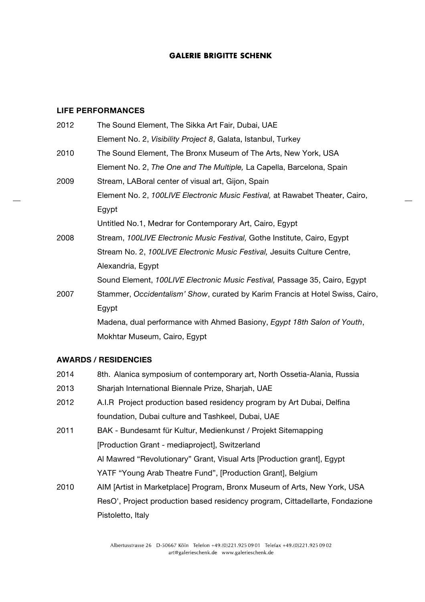# **LIFE PERFORMANCES**

| 2012 | The Sound Element, The Sikka Art Fair, Dubai, UAE                             |
|------|-------------------------------------------------------------------------------|
|      | Element No. 2, Visibility Project 8, Galata, Istanbul, Turkey                 |
| 2010 | The Sound Element, The Bronx Museum of The Arts, New York, USA                |
|      | Element No. 2, The One and The Multiple, La Capella, Barcelona, Spain         |
| 2009 | Stream, LABoral center of visual art, Gijon, Spain                            |
|      | Element No. 2, 100LIVE Electronic Music Festival, at Rawabet Theater, Cairo,  |
|      | Egypt                                                                         |
|      | Untitled No.1, Medrar for Contemporary Art, Cairo, Egypt                      |
| 2008 | Stream, 100LIVE Electronic Music Festival, Gothe Institute, Cairo, Egypt      |
|      | Stream No. 2, 100LIVE Electronic Music Festival, Jesuits Culture Centre,      |
|      | Alexandria, Egypt                                                             |
|      | Sound Element, 100LIVE Electronic Music Festival, Passage 35, Cairo, Egypt    |
| 2007 | Stammer, Occidentalism' Show, curated by Karim Francis at Hotel Swiss, Cairo, |
|      | Egypt                                                                         |
|      | Madena, dual performance with Ahmed Basiony, Egypt 18th Salon of Youth,       |
|      | Mokhtar Museum, Cairo, Egypt                                                  |

 $\overline{a}$ 

## **AWARDS / RESIDENCIES**

| 2014 | 8th. Alanica symposium of contemporary art, North Ossetia-Alania, Russia     |
|------|------------------------------------------------------------------------------|
| 2013 | Sharjah International Biennale Prize, Sharjah, UAE                           |
| 2012 | A.I.R Project production based residency program by Art Dubai, Delfina       |
|      | foundation, Dubai culture and Tashkeel, Dubai, UAE                           |
| 2011 | BAK - Bundesamt für Kultur, Medienkunst / Projekt Sitemapping                |
|      | [Production Grant - mediaproject], Switzerland                               |
|      | Al Mawred "Revolutionary" Grant, Visual Arts [Production grant], Egypt       |
|      | YATF "Young Arab Theatre Fund", [Production Grant], Belgium                  |
| 2010 | AIM [Artist in Marketplace] Program, Bronx Museum of Arts, New York, USA     |
|      | ResO', Project production based residency program, Cittadellarte, Fondazione |
|      | Pistoletto, Italy                                                            |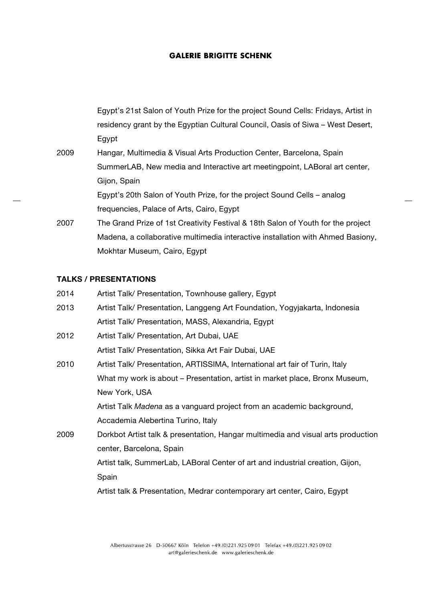|      | Egypt's 21st Salon of Youth Prize for the project Sound Cells: Fridays, Artist in |
|------|-----------------------------------------------------------------------------------|
|      | residency grant by the Egyptian Cultural Council, Oasis of Siwa – West Desert,    |
|      | Egypt                                                                             |
| 2009 | Hangar, Multimedia & Visual Arts Production Center, Barcelona, Spain              |
|      | SummerLAB, New media and Interactive art meetingpoint, LABoral art center,        |
|      | Gijon, Spain                                                                      |
|      | Egypt's 20th Salon of Youth Prize, for the project Sound Cells – analog           |
|      | frequencies, Palace of Arts, Cairo, Egypt                                         |
| 2007 | The Grand Prize of 1st Creativity Festival & 18th Salon of Youth for the project  |
|      | Madena, a collaborative multimedia interactive installation with Ahmed Basiony,   |
|      | Mokhtar Museum, Cairo, Egypt                                                      |

#### **TALKS / PRESENTATIONS**

| 2014 | Artist Talk/ Presentation, Townhouse gallery, Egypt                              |
|------|----------------------------------------------------------------------------------|
| 2013 | Artist Talk/ Presentation, Langgeng Art Foundation, Yogyjakarta, Indonesia       |
|      | Artist Talk/ Presentation, MASS, Alexandria, Egypt                               |
| 2012 | Artist Talk/ Presentation, Art Dubai, UAE                                        |
|      | Artist Talk/ Presentation, Sikka Art Fair Dubai, UAE                             |
| 2010 | Artist Talk/ Presentation, ARTISSIMA, International art fair of Turin, Italy     |
|      | What my work is about – Presentation, artist in market place, Bronx Museum,      |
|      | New York, USA                                                                    |
|      | Artist Talk Madena as a vanguard project from an academic background,            |
|      | Accademia Alebertina Turino, Italy                                               |
| 2009 | Dorkbot Artist talk & presentation, Hangar multimedia and visual arts production |
|      | center, Barcelona, Spain                                                         |
|      | Artist talk, SummerLab, LABoral Center of art and industrial creation, Gijon,    |
|      | Spain                                                                            |
|      | Artist talk & Presentation, Medrar contemporary art center, Cairo, Egypt         |